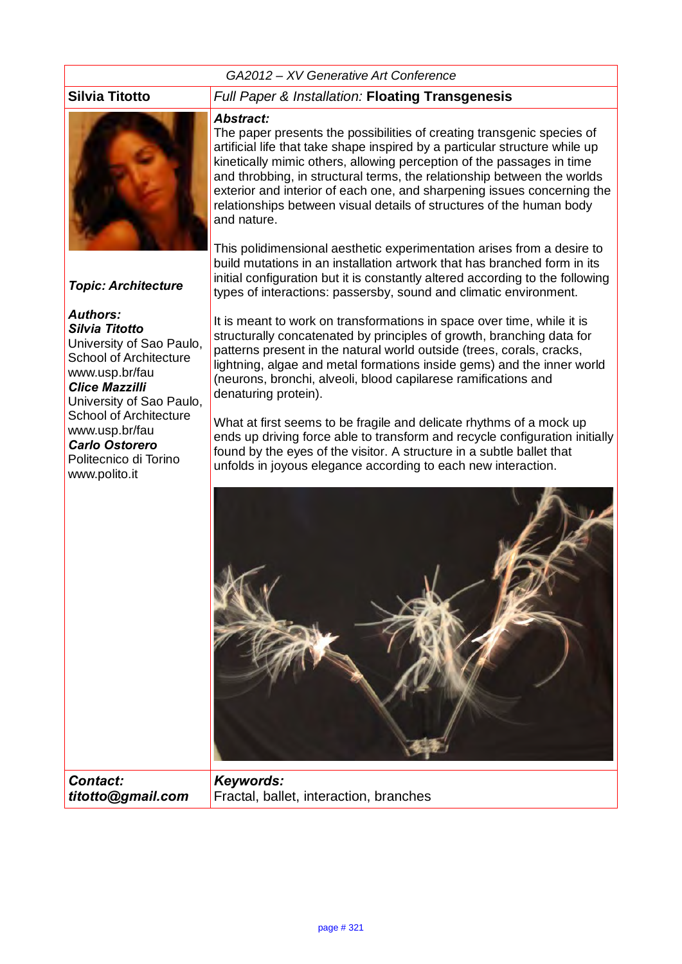# *GA2012 – XV Generative Art Conference*



# *Topic: Architecture*

# *Authors:*

*Silvia Titotto* University of Sao Paulo, School of Architecture www.usp.br/fau *Clice Mazzilli* University of Sao Paulo, School of Architecture www.usp.br/fau *Carlo Ostorero* Politecnico di Torino www.polito.it

# **Silvia Titotto** *Full Paper & Installation:* **Floating Transgenesis**

## *Abstract:*

The paper presents the possibilities of creating transgenic species of artificial life that take shape inspired by a particular structure while up kinetically mimic others, allowing perception of the passages in time and throbbing, in structural terms, the relationship between the worlds exterior and interior of each one, and sharpening issues concerning the relationships between visual details of structures of the human body and nature.

This polidimensional aesthetic experimentation arises from a desire to build mutations in an installation artwork that has branched form in its initial configuration but it is constantly altered according to the following types of interactions: passersby, sound and climatic environment.

It is meant to work on transformations in space over time, while it is structurally concatenated by principles of growth, branching data for patterns present in the natural world outside (trees, corals, cracks, lightning, algae and metal formations inside gems) and the inner world (neurons, bronchi, alveoli, blood capilarese ramifications and denaturing protein).

What at first seems to be fragile and delicate rhythms of a mock up ends up driving force able to transform and recycle configuration initially found by the eyes of the visitor. A structure in a subtle ballet that unfolds in joyous elegance according to each new interaction.



*Contact: titotto@gmail.com*

*Keywords:*  Fractal, ballet, interaction, branches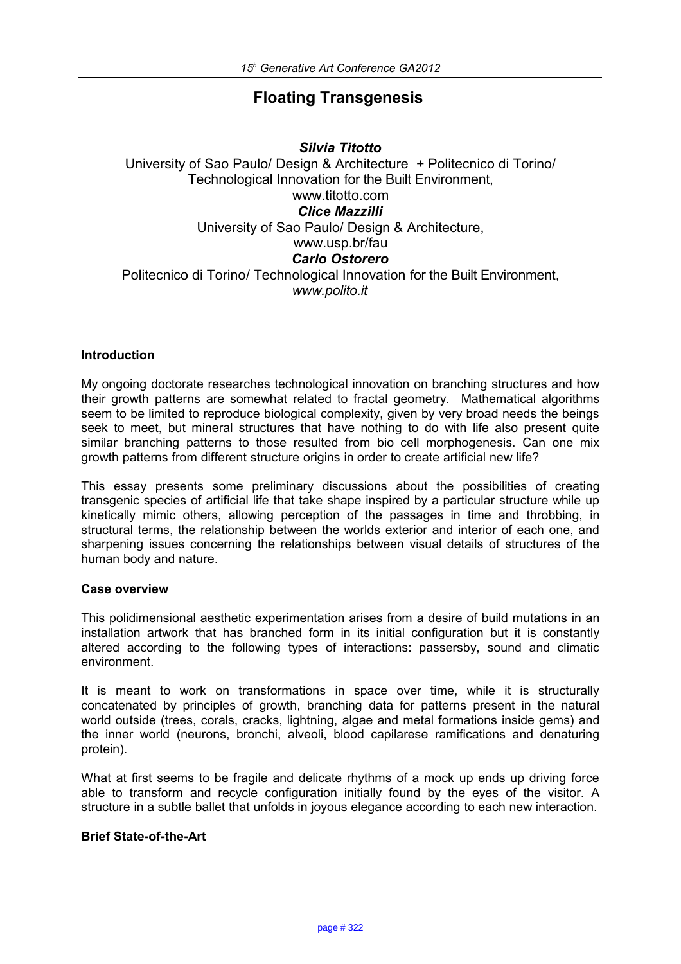# **Floating Transgenesis**

*Silvia Titotto* University of Sao Paulo/ Design & Architecture + Politecnico di Torino/ Technological Innovation for the Built Environment, www.titotto.com *Clice Mazzilli* University of Sao Paulo/ Design & Architecture, www.usp.br/fau *Carlo Ostorero* Politecnico di Torino/ Technological Innovation for the Built Environment, *www.polito.it*

# **Introduction**

My ongoing doctorate researches technological innovation on branching structures and how their growth patterns are somewhat related to fractal geometry. Mathematical algorithms seem to be limited to reproduce biological complexity, given by very broad needs the beings seek to meet, but mineral structures that have nothing to do with life also present quite similar branching patterns to those resulted from bio cell morphogenesis. Can one mix growth patterns from different structure origins in order to create artificial new life?

This essay presents some preliminary discussions about the possibilities of creating transgenic species of artificial life that take shape inspired by a particular structure while up kinetically mimic others, allowing perception of the passages in time and throbbing, in structural terms, the relationship between the worlds exterior and interior of each one, and sharpening issues concerning the relationships between visual details of structures of the human body and nature.

## **Case overview**

This polidimensional aesthetic experimentation arises from a desire of build mutations in an installation artwork that has branched form in its initial configuration but it is constantly altered according to the following types of interactions: passersby, sound and climatic environment.

It is meant to work on transformations in space over time, while it is structurally concatenated by principles of growth, branching data for patterns present in the natural world outside (trees, corals, cracks, lightning, algae and metal formations inside gems) and the inner world (neurons, bronchi, alveoli, blood capilarese ramifications and denaturing protein).

What at first seems to be fragile and delicate rhythms of a mock up ends up driving force able to transform and recycle configuration initially found by the eyes of the visitor. A structure in a subtle ballet that unfolds in joyous elegance according to each new interaction.

## **Brief State-of-the-Art**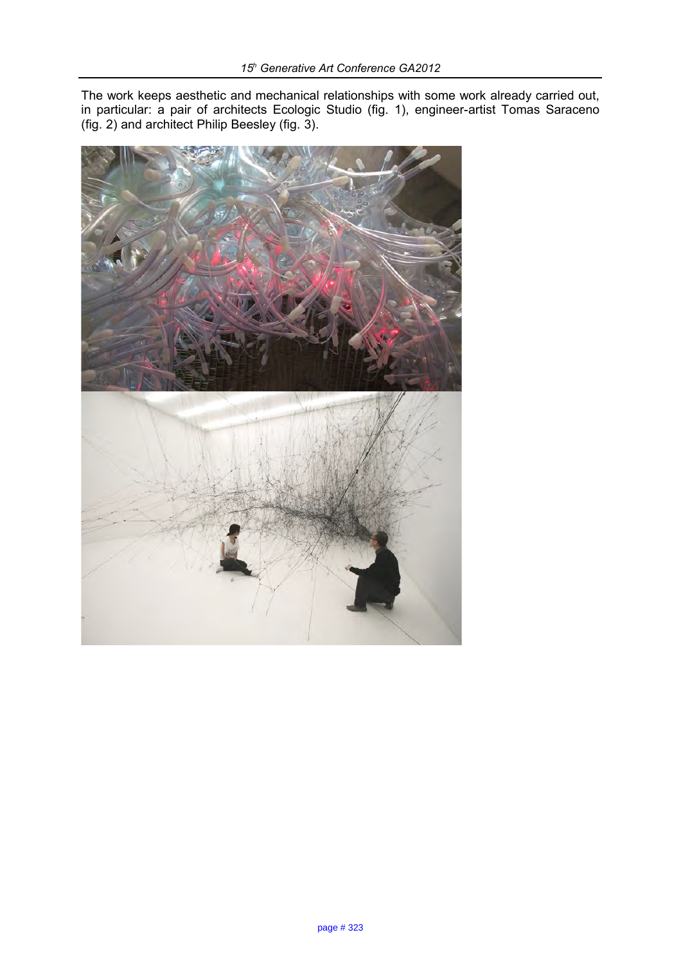The work keeps aesthetic and mechanical relationships with some work already carried out, in particular: a pair of architects Ecologic Studio (fig. 1), engineer-artist Tomas Saraceno (fig. 2) and architect Philip Beesley (fig. 3).

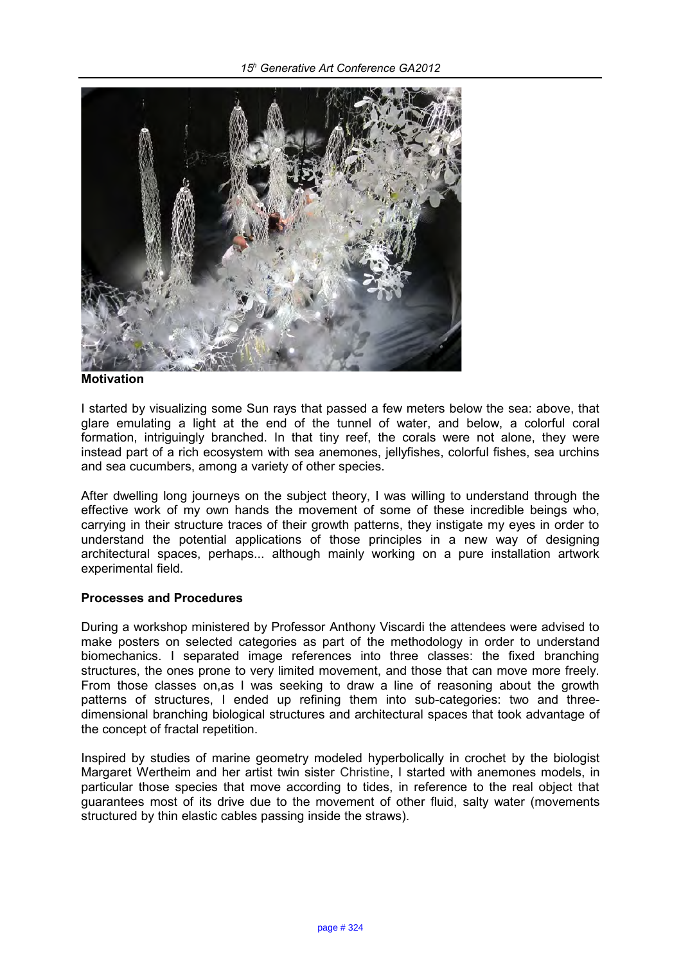*15<sup>h</sup> Generative Art Conference GA2012*



#### **Motivation**

I started by visualizing some Sun rays that passed a few meters below the sea: above, that glare emulating a light at the end of the tunnel of water, and below, a colorful coral formation, intriguingly branched. In that tiny reef, the corals were not alone, they were instead part of a rich ecosystem with sea anemones, jellyfishes, colorful fishes, sea urchins and sea cucumbers, among a variety of other species.

After dwelling long journeys on the subject theory, I was willing to understand through the effective work of my own hands the movement of some of these incredible beings who, carrying in their structure traces of their growth patterns, they instigate my eyes in order to understand the potential applications of those principles in a new way of designing architectural spaces, perhaps... although mainly working on a pure installation artwork experimental field.

## **Processes and Procedures**

During a workshop ministered by Professor Anthony Viscardi the attendees were advised to make posters on selected categories as part of the methodology in order to understand biomechanics. I separated image references into three classes: the fixed branching structures, the ones prone to very limited movement, and those that can move more freely. From those classes on,as I was seeking to draw a line of reasoning about the growth patterns of structures, I ended up refining them into sub-categories: two and threedimensional branching biological structures and architectural spaces that took advantage of the concept of fractal repetition.

Inspired by studies of marine geometry modeled hyperbolically in crochet by the biologist Margaret Wertheim and her artist twin sister Christine, I started with anemones models, in particular those species that move according to tides, in reference to the real object that guarantees most of its drive due to the movement of other fluid, salty water (movements structured by thin elastic cables passing inside the straws).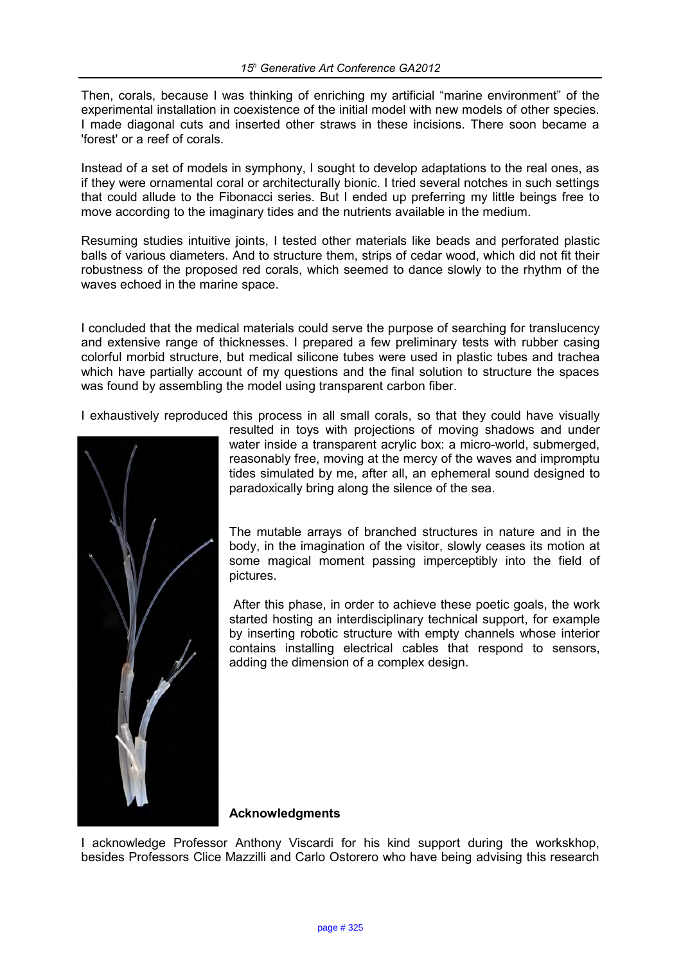Then, corals, because I was thinking of enriching my artificial "marine environment" of the experimental installation in coexistence of the initial model with new models of other species. I made diagonal cuts and inserted other straws in these incisions. There soon became a 'forest' or a reef of corals.

Instead of a set of models in symphony, I sought to develop adaptations to the real ones, as if they were ornamental coral or architecturally bionic. I tried several notches in such settings that could allude to the Fibonacci series. But I ended up preferring my little beings free to move according to the imaginary tides and the nutrients available in the medium.

Resuming studies intuitive joints, I tested other materials like beads and perforated plastic balls of various diameters. And to structure them, strips of cedar wood, which did not fit their robustness of the proposed red corals, which seemed to dance slowly to the rhythm of the waves echoed in the marine space.

I concluded that the medical materials could serve the purpose of searching for translucency and extensive range of thicknesses. I prepared a few preliminary tests with rubber casing colorful morbid structure, but medical silicone tubes were used in plastic tubes and trachea which have partially account of my questions and the final solution to structure the spaces was found by assembling the model using transparent carbon fiber.

I exhaustively reproduced this process in all small corals, so that they could have visually



resulted in toys with projections of moving shadows and under water inside a transparent acrylic box: a micro-world, submerged, reasonably free, moving at the mercy of the waves and impromptu tides simulated by me, after all, an ephemeral sound designed to paradoxically bring along the silence of the sea.

The mutable arrays of branched structures in nature and in the body, in the imagination of the visitor, slowly ceases its motion at some magical moment passing imperceptibly into the field of pictures.

 After this phase, in order to achieve these poetic goals, the work started hosting an interdisciplinary technical support, for example by inserting robotic structure with empty channels whose interior contains installing electrical cables that respond to sensors, adding the dimension of a complex design.

# **Acknowledgments**

I acknowledge Professor Anthony Viscardi for his kind support during the workskhop, besides Professors Clice Mazzilli and Carlo Ostorero who have being advising this research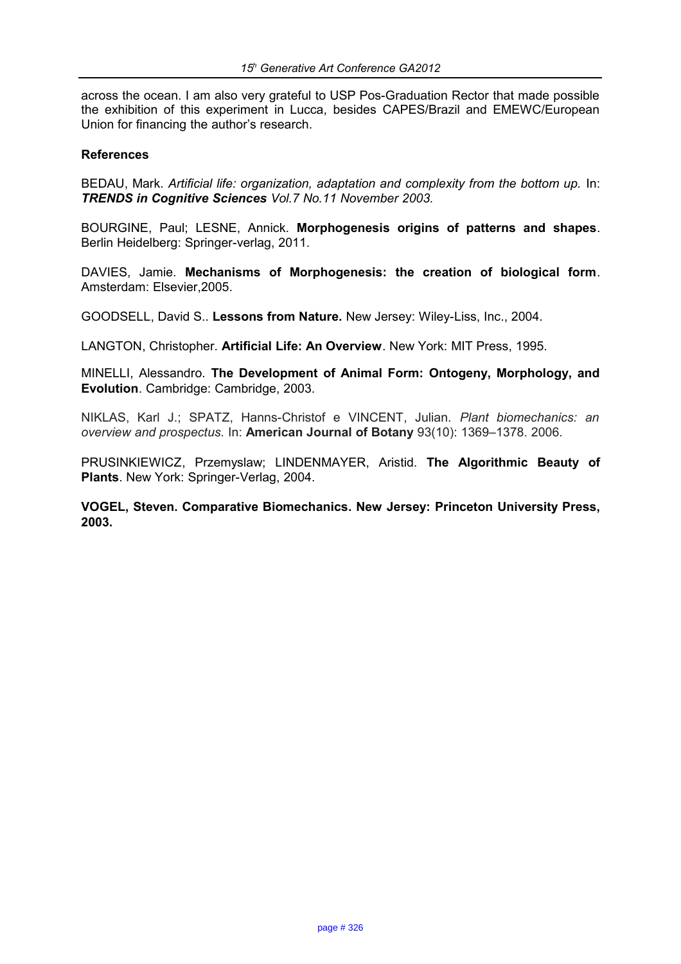across the ocean. I am also very grateful to USP Pos-Graduation Rector that made possible the exhibition of this experiment in Lucca, besides CAPES/Brazil and EMEWC/European Union for financing the author's research.

## **References**

BEDAU, Mark. *Artificial life: organization, adaptation and complexity from the bottom up.* In: *TRENDS in Cognitive Sciences Vol.7 No.11 November 2003.*

BOURGINE, Paul; LESNE, Annick. **Morphogenesis origins of patterns and shapes**. Berlin Heidelberg: Springer-verlag, 2011.

DAVIES, Jamie. **Mechanisms of Morphogenesis: the creation of biological form**. Amsterdam: Elsevier,2005.

GOODSELL, David S.. **Lessons from Nature.** New Jersey: Wiley-Liss, Inc., 2004.

LANGTON, Christopher. **Artificial Life: An Overview**. New York: MIT Press, 1995.

MINELLI, Alessandro. **The Development of Animal Form: Ontogeny, Morphology, and Evolution**. Cambridge: Cambridge, 2003.

NIKLAS, Karl J.; SPATZ, Hanns-Christof e VINCENT, Julian. *Plant biomechanics: an overview and prospectus.* In: **American Journal of Botany** 93(10): 1369–1378. 2006.

PRUSINKIEWICZ, Przemyslaw; LINDENMAYER, Aristid. **The Algorithmic Beauty of Plants**. New York: Springer-Verlag, 2004.

**VOGEL, Steven. Comparative Biomechanics. New Jersey: Princeton University Press, 2003.**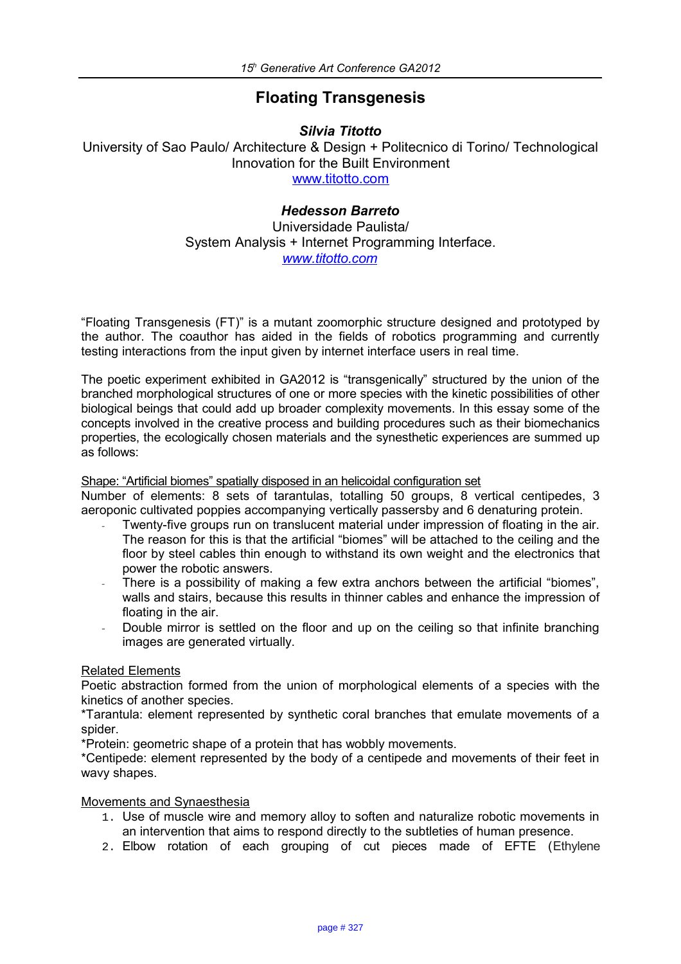# **Floating Transgenesis**

*Silvia Titotto* University of Sao Paulo/ Architecture & Design + Politecnico di Torino/ Technological Innovation for the Built Environment [www.titotto.com](http://www.titotto.com/)

# *Hedesson Barreto*

Universidade Paulista/ System Analysis + Internet Programming Interface. *[www.titotto.com](http://www.titotto.com/)* 

"Floating Transgenesis (FT)" is a mutant zoomorphic structure designed and prototyped by the author. The coauthor has aided in the fields of robotics programming and currently testing interactions from the input given by internet interface users in real time.

The poetic experiment exhibited in GA2012 is "transgenically" structured by the union of the branched morphological structures of one or more species with the kinetic possibilities of other biological beings that could add up broader complexity movements. In this essay some of the concepts involved in the creative process and building procedures such as their biomechanics properties, the ecologically chosen materials and the synesthetic experiences are summed up as follows:

## Shape: "Artificial biomes" spatially disposed in an helicoidal configuration set

Number of elements: 8 sets of tarantulas, totalling 50 groups, 8 vertical centipedes, 3 aeroponic cultivated poppies accompanying vertically passersby and 6 denaturing protein.

- Twenty-five groups run on translucent material under impression of floating in the air. The reason for this is that the artificial "biomes" will be attached to the ceiling and the floor by steel cables thin enough to withstand its own weight and the electronics that power the robotic answers.
- There is a possibility of making a few extra anchors between the artificial "biomes", walls and stairs, because this results in thinner cables and enhance the impression of floating in the air.
- Double mirror is settled on the floor and up on the ceiling so that infinite branching images are generated virtually.

# Related Elements

Poetic abstraction formed from the union of morphological elements of a species with the kinetics of another species.

\*Tarantula: element represented by synthetic coral branches that emulate movements of a spider.

\*Protein: geometric shape of a protein that has wobbly movements.

\*Centipede: element represented by the body of a centipede and movements of their feet in wavy shapes.

## Movements and Synaesthesia

- 1. Use of muscle wire and memory alloy to soften and naturalize robotic movements in an intervention that aims to respond directly to the subtleties of human presence.
- 2. Elbow rotation of each grouping of cut pieces made of EFTE (Ethylene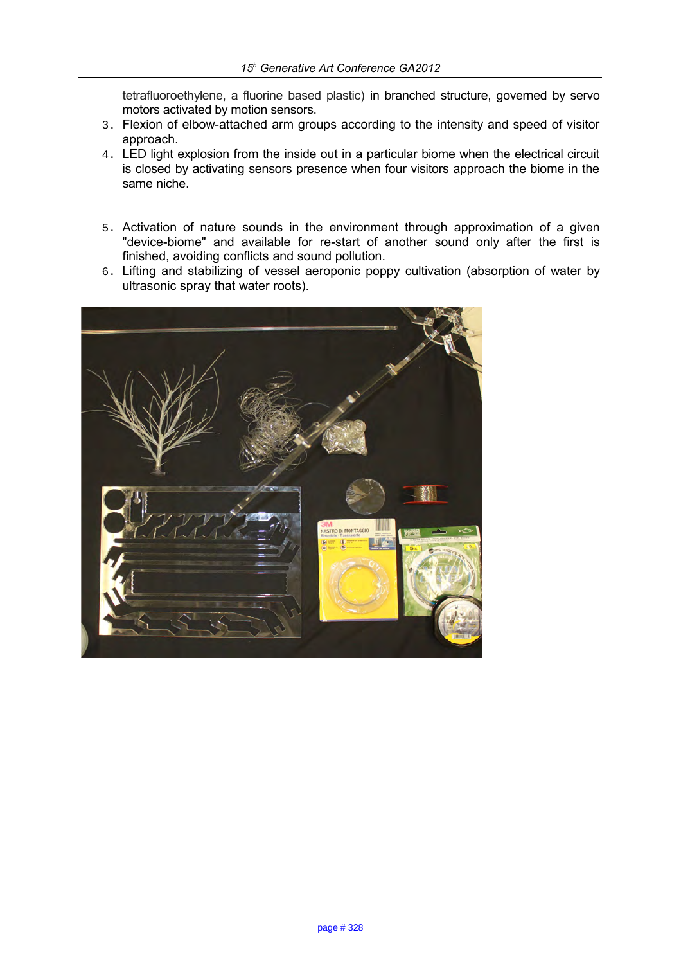tetrafluoroethylene, a fluorine based plastic) in branched structure, governed by servo motors activated by motion sensors.

- 3. Flexion of elbow-attached arm groups according to the intensity and speed of visitor approach.
- 4. LED light explosion from the inside out in a particular biome when the electrical circuit is closed by activating sensors presence when four visitors approach the biome in the same niche.
- 5. Activation of nature sounds in the environment through approximation of a given "device-biome" and available for re-start of another sound only after the first is finished, avoiding conflicts and sound pollution.
- 6. Lifting and stabilizing of vessel aeroponic poppy cultivation (absorption of water by ultrasonic spray that water roots).

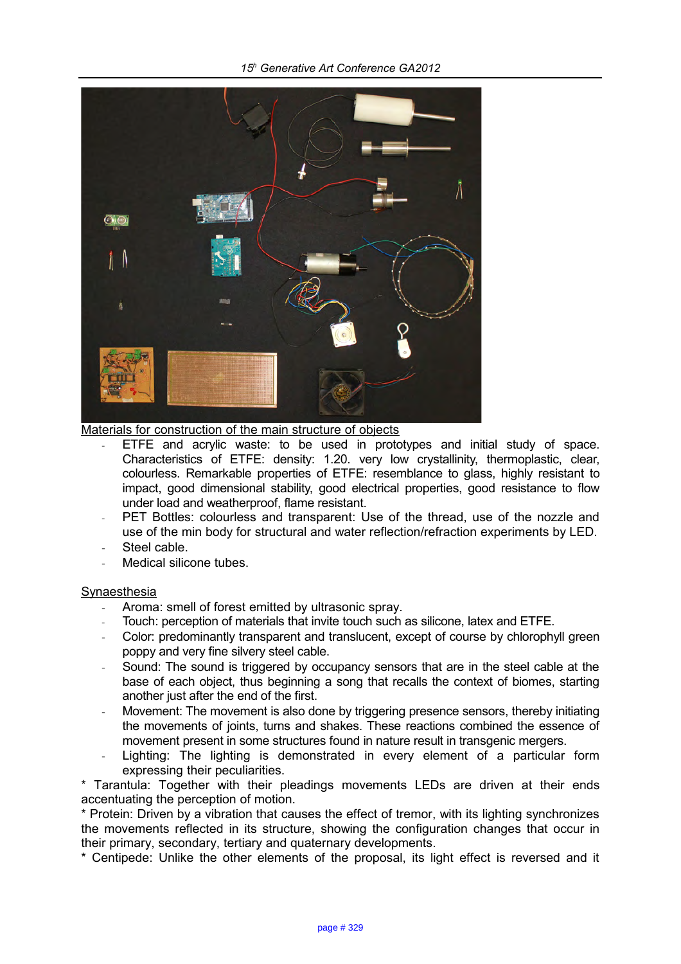

Materials for construction of the main structure of objects

- ETFE and acrylic waste: to be used in prototypes and initial study of space. Characteristics of ETFE: density: 1.20. very low crystallinity, thermoplastic, clear, colourless. Remarkable properties of ETFE: resemblance to glass, highly resistant to impact, good dimensional stability, good electrical properties, good resistance to flow under load and weatherproof, flame resistant.
- PET Bottles: colourless and transparent: Use of the thread, use of the nozzle and use of the min body for structural and water reflection/refraction experiments by LED.
- Steel cable.
- Medical silicone tubes.

## **Synaesthesia**

- Aroma: smell of forest emitted by ultrasonic spray.
- Touch: perception of materials that invite touch such as silicone, latex and ETFE.
- Color: predominantly transparent and translucent, except of course by chlorophyll green poppy and very fine silvery steel cable.
- Sound: The sound is triggered by occupancy sensors that are in the steel cable at the base of each object, thus beginning a song that recalls the context of biomes, starting another just after the end of the first.
- Movement: The movement is also done by triggering presence sensors, thereby initiating the movements of joints, turns and shakes. These reactions combined the essence of movement present in some structures found in nature result in transgenic mergers.
- Lighting: The lighting is demonstrated in every element of a particular form expressing their peculiarities.

\* Tarantula: Together with their pleadings movements LEDs are driven at their ends accentuating the perception of motion.

\* Protein: Driven by a vibration that causes the effect of tremor, with its lighting synchronizes the movements reflected in its structure, showing the configuration changes that occur in their primary, secondary, tertiary and quaternary developments.

\* Centipede: Unlike the other elements of the proposal, its light effect is reversed and it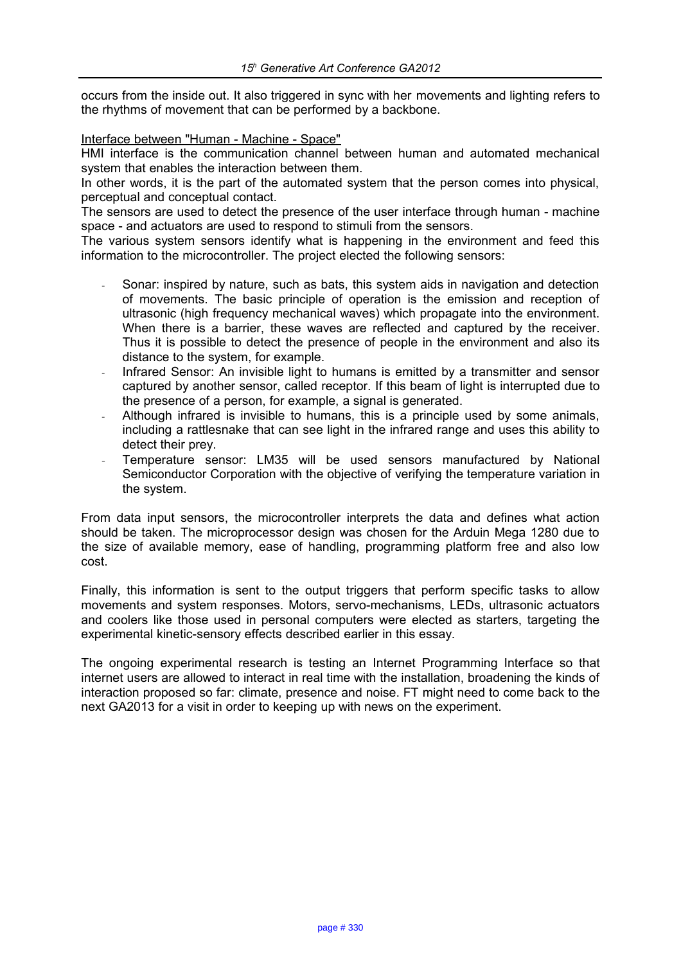occurs from the inside out. It also triggered in sync with her movements and lighting refers to the rhythms of movement that can be performed by a backbone.

Interface between "Human - Machine - Space"

HMI interface is the communication channel between human and automated mechanical system that enables the interaction between them.

In other words, it is the part of the automated system that the person comes into physical, perceptual and conceptual contact.

The sensors are used to detect the presence of the user interface through human - machine space - and actuators are used to respond to stimuli from the sensors.

The various system sensors identify what is happening in the environment and feed this information to the microcontroller. The project elected the following sensors:

- Sonar: inspired by nature, such as bats, this system aids in navigation and detection of movements. The basic principle of operation is the emission and reception of ultrasonic (high frequency mechanical waves) which propagate into the environment. When there is a barrier, these waves are reflected and captured by the receiver. Thus it is possible to detect the presence of people in the environment and also its distance to the system, for example.
- Infrared Sensor: An invisible light to humans is emitted by a transmitter and sensor captured by another sensor, called receptor. If this beam of light is interrupted due to the presence of a person, for example, a signal is generated.
- Although infrared is invisible to humans, this is a principle used by some animals, including a rattlesnake that can see light in the infrared range and uses this ability to detect their prey.
- Temperature sensor: LM35 will be used sensors manufactured by National Semiconductor Corporation with the objective of verifying the temperature variation in the system.

From data input sensors, the microcontroller interprets the data and defines what action should be taken. The microprocessor design was chosen for the Arduin Mega 1280 due to the size of available memory, ease of handling, programming platform free and also low cost.

Finally, this information is sent to the output triggers that perform specific tasks to allow movements and system responses. Motors, servo-mechanisms, LEDs, ultrasonic actuators and coolers like those used in personal computers were elected as starters, targeting the experimental kinetic-sensory effects described earlier in this essay.

The ongoing experimental research is testing an Internet Programming Interface so that internet users are allowed to interact in real time with the installation, broadening the kinds of interaction proposed so far: climate, presence and noise. FT might need to come back to the next GA2013 for a visit in order to keeping up with news on the experiment.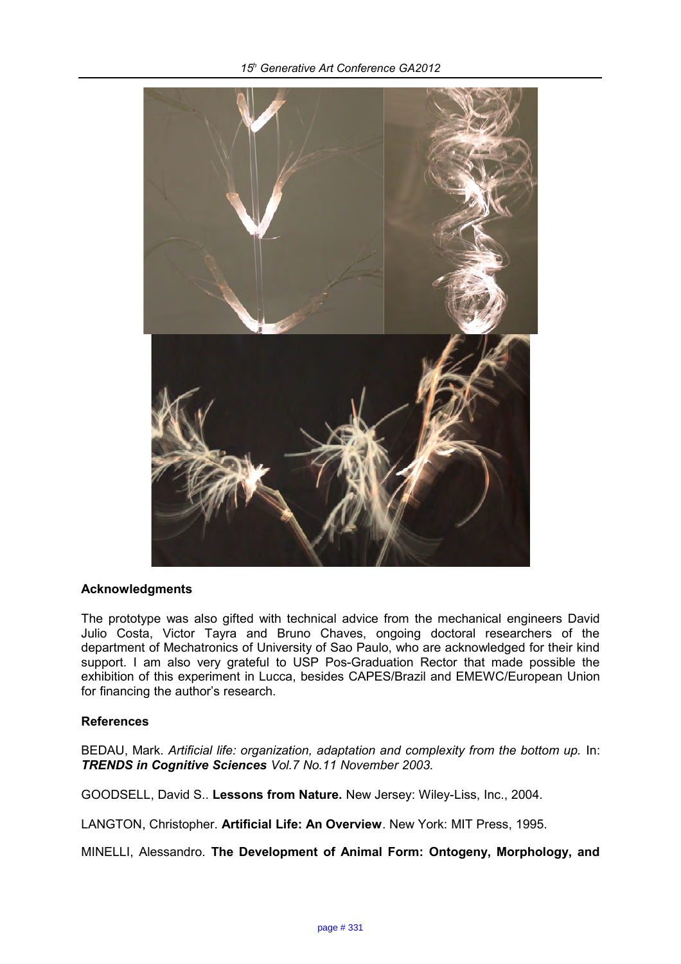

## **Acknowledgments**

The prototype was also gifted with technical advice from the mechanical engineers David Julio Costa, Victor Tayra and Bruno Chaves, ongoing doctoral researchers of the department of Mechatronics of University of Sao Paulo, who are acknowledged for their kind support. I am also very grateful to USP Pos-Graduation Rector that made possible the exhibition of this experiment in Lucca, besides CAPES/Brazil and EMEWC/European Union for financing the author's research.

# **References**

BEDAU, Mark. Artificial life: organization, adaptation and complexity from the bottom up. In: *TRENDS in Cognitive Sciences Vol.7 No.11 November 2003.*

GOODSELL, David S.. **Lessons from Nature.** New Jersey: Wiley-Liss, Inc., 2004.

LANGTON, Christopher. **Artificial Life: An Overview**. New York: MIT Press, 1995.

MINELLI, Alessandro. **The Development of Animal Form: Ontogeny, Morphology, and**